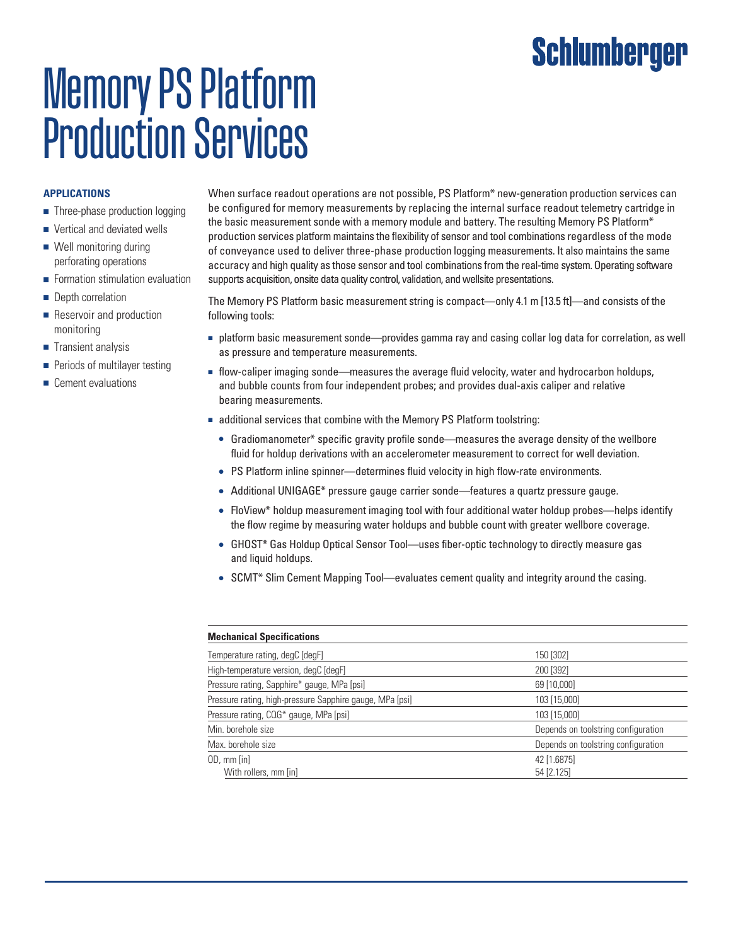## Schlumberger

# Memory PS Platform Production Services

#### **Applications**

- $\blacksquare$  Three-phase production logging
- $\blacksquare$  Vertical and deviated wells
- $\blacksquare$  Well monitoring during perforating operations
- $\blacksquare$  Formation stimulation evaluation
- Depth correlation
- $\blacksquare$  Reservoir and production monitoring
- Transient analysis
- $\blacksquare$  Periods of multilayer testing
- $\blacksquare$  Cement evaluations

When surface readout operations are not possible, PS Platform\* new-generation production services can be configured for memory measurements by replacing the internal surface readout telemetry cartridge in the basic measurement sonde with a memory module and battery. The resulting Memory PS Platform\* production services platform maintains the flexibility of sensor and tool combinations regardless of the mode of conveyance used to deliver three-phase production logging measurements. It also maintains the same accuracy and high quality as those sensor and tool combinations from the real-time system. Operating software supports acquisition, onsite data quality control, validation, and wellsite presentations.

The Memory PS Platform basic measurement string is compact—only 4.1 m [13.5 ft]—and consists of the following tools:

- <sup>n</sup> platform basic measurement sonde—provides gamma ray and casing collar log data for correlation, as well as pressure and temperature measurements.
- <sup>n</sup> flow-caliper imaging sonde—measures the average fluid velocity, water and hydrocarbon holdups, and bubble counts from four independent probes; and provides dual-axis caliper and relative bearing measurements.
- n additional services that combine with the Memory PS Platform toolstring:
	- <sup>l</sup> Gradiomanometer\* specific gravity profile sonde—measures the average density of the wellbore fluid for holdup derivations with an accelerometer measurement to correct for well deviation.
	- PS Platform inline spinner—determines fluid velocity in high flow-rate environments.
	- Additional UNIGAGE\* pressure gauge carrier sonde—features a quartz pressure gauge.
	- FloView\* holdup measurement imaging tool with four additional water holdup probes—helps identify the flow regime by measuring water holdups and bubble count with greater wellbore coverage.
	- GHOST\* Gas Holdup Optical Sensor Tool—uses fiber-optic technology to directly measure gas and liquid holdups.
	- SCMT\* Slim Cement Mapping Tool—evaluates cement quality and integrity around the casing.

| <b>Mechanical Specifications</b>                         |                                     |  |  |
|----------------------------------------------------------|-------------------------------------|--|--|
| Temperature rating, degC [degF]                          | 150 [302]                           |  |  |
| High-temperature version, degC [degF]                    | 200 [392]                           |  |  |
| Pressure rating, Sapphire* gauge, MPa [psi]              | 69 [10,000]                         |  |  |
| Pressure rating, high-pressure Sapphire gauge, MPa [psi] | 103 [15,000]                        |  |  |
| Pressure rating, CQG* gauge, MPa [psi]                   | 103 [15,000]                        |  |  |
| Min. borehole size                                       | Depends on toolstring configuration |  |  |
| Max, borehole size                                       | Depends on toolstring configuration |  |  |
| $OD, \, mm$ [in]                                         | 42 [1.6875]                         |  |  |
| With rollers, mm [in]                                    | 54 [2.125]                          |  |  |